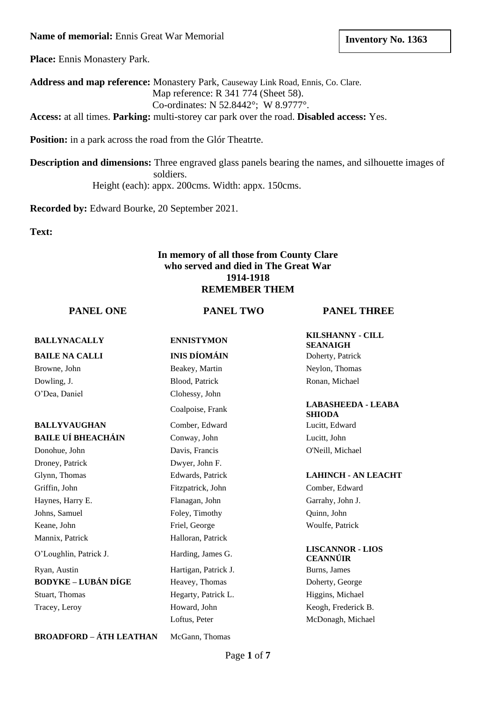**Name of memorial:** Ennis Great War Memorial

**Place:** Ennis Monastery Park.

**Address and map reference:** Monastery Park, Causeway Link Road, Ennis, Co. Clare. Map reference: R 341 774 (Sheet 58). Co-ordinates: N 52.8442°; W 8.9777°.

**Access:** at all times. **Parking:** multi-storey car park over the road. **Disabled access:** Yes.

**Position:** in a park across the road from the Glór Theatrte.

**Description and dimensions:** Three engraved glass panels bearing the names, and silhouette images of soldiers. Height (each): appx. 200cms. Width: appx. 150cms.

**Recorded by:** Edward Bourke, 20 September 2021.

**Text:** 

### **In memory of all those from County Clare who served and died in The Great War 1914-1918 REMEMBER THEM**

**PANEL ONE PANEL TWO PANEL THREE**

| <b>BALLYNACALLY</b>            | <b>ENNISTYMON</b>    | <b>KILSHANNY - CILL</b><br><b>SEANAIGH</b> |
|--------------------------------|----------------------|--------------------------------------------|
| <b>BAILE NA CALLI</b>          | <b>INIS DÍOMÁIN</b>  | Doherty, Patrick                           |
| Browne, John                   | Beakey, Martin       | Neylon, Thomas                             |
| Dowling, J.                    | Blood, Patrick       | Ronan, Michael                             |
| O'Dea, Daniel                  | Clohessy, John       |                                            |
|                                | Coalpoise, Frank     | <b>LABASHEEDA - LEABA</b><br><b>SHIODA</b> |
| <b>BALLYVAUGHAN</b>            | Comber, Edward       | Lucitt, Edward                             |
| <b>BAILE UÍ BHEACHÁIN</b>      | Conway, John         | Lucitt, John                               |
| Donohue, John                  | Davis, Francis       | O'Neill, Michael                           |
| Droney, Patrick                | Dwyer, John F.       |                                            |
| Glynn, Thomas                  | Edwards, Patrick     | <b>LAHINCH - AN LEACHT</b>                 |
| Griffin, John                  | Fitzpatrick, John    | Comber, Edward                             |
| Haynes, Harry E.               | Flanagan, John       | Garrahy, John J.                           |
| Johns, Samuel                  | Foley, Timothy       | Quinn, John                                |
| Keane, John                    | Friel, George        | Woulfe, Patrick                            |
| Mannix, Patrick                | Halloran, Patrick    |                                            |
| O'Loughlin, Patrick J.         | Harding, James G.    | <b>LISCANNOR - LIOS</b><br><b>CEANNÚIR</b> |
| Ryan, Austin                   | Hartigan, Patrick J. | Burns, James                               |
| <b>BODYKE – LUBÁN DÍGE</b>     | Heavey, Thomas       | Doherty, George                            |
| Stuart, Thomas                 | Hegarty, Patrick L.  | Higgins, Michael                           |
| Tracey, Leroy                  | Howard, John         | Keogh, Frederick B.                        |
|                                | Loftus, Peter        | McDonagh, Michael                          |
| <b>BROADFORD - ÁTH LEATHAN</b> | McGann. Thomas       |                                            |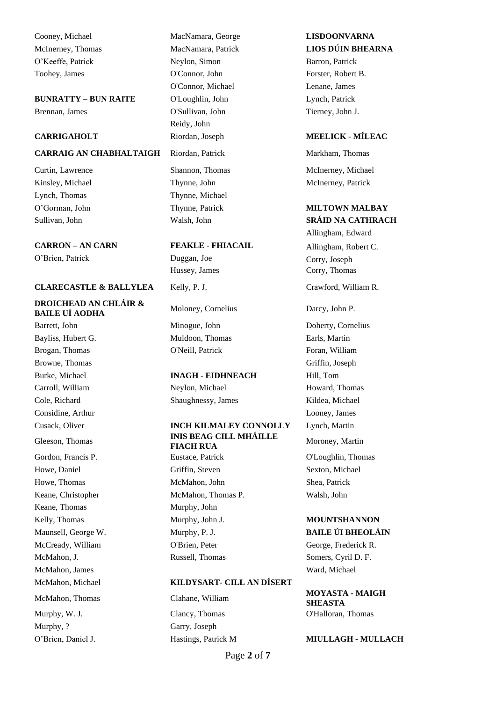Cooney, Michael MacNamara, George **LISDOONVARNA** O'Keeffe, Patrick Neylon, Simon Barron, Patrick Toohey, James **O'Connor**, John **Forster, Robert B.** 

**BUNRATTY – BUN RAITE** O'Loughlin, John Lynch, Patrick Brennan, James O'Sullivan, John Tierney, John J.

### **CARRAIG AN CHABHALTAIGH** Riordan, Patrick Markham, Thomas

Kinsley, Michael Thynne, John McInerney, Patrick Lynch, Thomas Thynne, Michael

**CARRON – AN CARN FEAKLE - FHIACAIL** Allingham, Robert C. O'Brien, Patrick Duggan, Joe Corry, Joseph

### **CLARECASTLE & BALLYLEA** Kelly, P. J. Crawford, William R.

### **DROICHEAD AN CHLÁIR &**  BAILE UÍ AODHA
BAILE UÍ AODHA
BAILE UÍ AODHA
BAILE UÍ AODHA
BAILE UÍ AODHA
BAILE UÍ AODHA

Bayliss, Hubert G. Muldoon, Thomas Earls, Martin Brogan, Thomas **O'Neill, Patrick Foran, William** Browne, Thomas Griffin, Joseph Carroll, William Neylon, Michael Howard, Thomas Cole, Richard Shaughnessy, James Kildea, Michael Considine, Arthur Looney, James Gordon, Francis P. **Eustace, Patrick** C'Loughlin, Thomas Keane, Thomas Murphy, John McMahon, James Ward, Michael Murphy, ? Garry, Joseph

O'Connor, Michael Lenane, James Reidy, John

Hussey, James Corry, Thomas

Barrett, John Minogue, John Doherty, Cornelius

### Burke, Michael **INAGH - EIDHNEACH** Hill, Tom

# Cusack, Oliver **INCH KILMALEY CONNOLLY** Lynch, Martin **INIS BEAG CILL MHÁILLE**<br>**INIS BEAG CILL MHÁILLE**<br>**FIACH RUA**

Howe, Daniel **Griffin**, Steven Sexton, Michael Howe, Thomas McMahon, John Shea, Patrick Keane, Christopher McMahon, Thomas P. Walsh, John Kelly, Thomas **Murphy, John J. MOUNTSHANNON** Maunsell, George W. Murphy, P. J. **BAILE ÚI BHEOLÁIN** McCready, William O'Brien, Peter George, Frederick R. McMahon, J. Russell, Thomas Somers, Cyril D. F.

### McMahon, Michael **KILDYSART- CILL AN DÍSERT**

Murphy, W. J. Clancy, Thomas Clancy, Thomas C'Halloran, Thomas

# McInerney, Thomas MacNamara, Patrick **LIOS DÚIN BHEARNA**

### **CARRIGAHOLT** Riordan, Joseph **MEELICK - MÍLEAC**

Curtin, Lawrence Shannon, Thomas McInerney, Michael

### O'Gorman, John Thynne, Patrick **MILTOWN MALBAY** Sullivan, John Walsh, John **SRÁID NA CATHRACH**

Allingham, Edward

**Moroney**, Martin

McMahon, Thomas Clahane, William **MOYASTA - MAIGH SHEASTA**

### O'Brien, Daniel J. Hastings, Patrick M **MIULLAGH - MULLACH**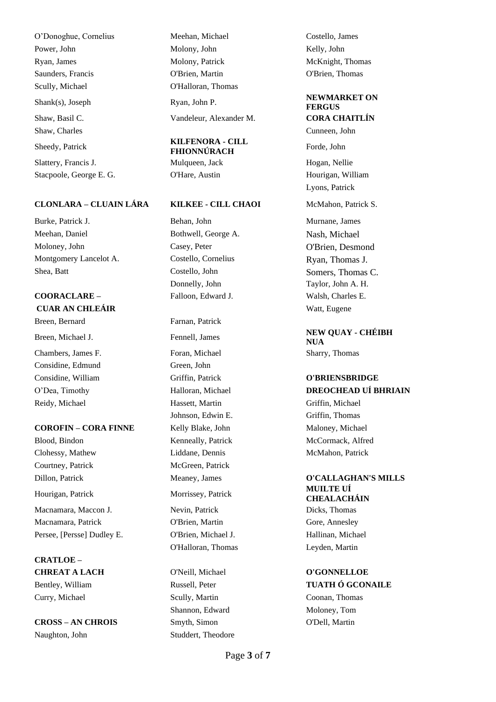O'Donoghue, Cornelius Meehan, Michael Costello, James Power, John Molony, John Molony, John Kelly, John Ryan, James Molony, Patrick McKnight, Thomas Saunders, Francis O'Brien, Martin O'Brien, Thomas Scully, Michael **O'Halloran**, Thomas Shank(s), Joseph Ryan, John P. **NEWMARKET ON** Shaw, Basil C. Vandeleur, Alexander M. **CORA CHAITLÍN** Shaw, Charles Cunneen, John Cunneen, John Cunneen, John Cunneen, John Cunneen, John Cunneen, John Cunneen, John Cunneen, John Cunneen, John Cunneen, John Cunneen, John Cunneen, John Cunneen, John Cunneen, John Cunneen, Joh Sheedy, Patrick **KILFENORA - CILL** Slattery, Francis J. Mulqueen, Jack Hogan, Nellie Stacpoole, George E. G. O'Hare, Austin Hourigan, William

### **CLONLARA – CLUAIN LÁRA KILKEE - CILL CHAOI** McMahon, Patrick S.

Burke, Patrick J. Behan, John Murnane, James Meehan, Daniel Bothwell, George A. Nash, Michael Moloney, John Casey, Peter O'Brien, Desmond Montgomery Lancelot A. Costello, Cornelius Ryan, Thomas J. Shea, Batt Costello, John Somers, Thomas C.

# **COORACLARE –** Falloon, Edward J. Walsh, Charles E. **CUAR AN CHLEÁIR** Watt, Eugene

Chambers, James F. Foran, Michael Sharry, Thomas Considine, Edmund Green, John Reidy, Michael Hassett, Martin Griffin, Michael

### **COROFIN – CORA FINNE** Kelly Blake, John Maloney, Michael

Blood, Bindon **Kenneally, Patrick McCormack, Alfred** McCormack, Alfred Clohessy, Mathew Liddane, Dennis McMahon, Patrick Courtney, Patrick McGreen, Patrick Hourigan, Patrick Morrissey, Patrick **MUILTE UÍ**  Macnamara, Maccon J. Nevin, Patrick Dicks, Thomas Macnamara, Patrick O'Brien, Martin Gore, Annesley Persee, [Persse] Dudley E. C'Brien, Michael J. Hallinan, Michael Hallinan, Michael

**CRATLOE – CHREAT A LACH** O'Neill, Michael **O'GONNELLOE** Bentley, William Russell, Peter **TUATH Ó GCONAILE** Curry, Michael Scully, Martin Coonan, Thomas

**CROSS – AN CHROIS** Smyth, Simon O'Dell, Martin Naughton, John Studdert, Theodore

**FHIONNÚRACH** Forde, John

Donnelly, John Taylor, John A. H.

Breen, Bernard Farnan, Patrick Johnson, Edwin E. Griffin, Thomas O'Halloran, Thomas Leyden, Martin

Shannon, Edward Moloney, Tom

# **FERGUS**

Lyons, Patrick

Breen, Michael J. **Fennell**, James **NEW QUAY - CHÉIBH NEW QUAY** - CHÉIBH **NUA**

### Considine, William Griffin, Patrick **O'BRIENSBRIDGE** O'Dea, Timothy Halloran, Michael **DREOCHEAD UÍ BHRIAIN**

## Dillon, Patrick Meaney, James **O'CALLAGHAN'S MILLS CHEALACHÁIN**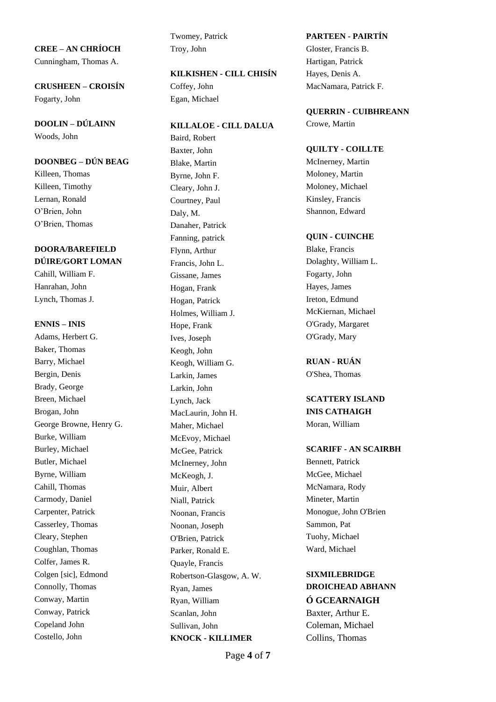**CREE – AN CHRÍOCH** Troy, John Gloster, Francis B. Cunningham, Thomas A. Hartigan, Patrick

Fogarty, John Egan, Michael

**DOOLIN – DÚLAINN KILLALOE - CILL DALUA** Crowe, Martin Woods, John Baird, Robert

O'Brien, Thomas Danaher, Patrick

# **DOORA/BAREFIELD** Flynn, Arthur Blake, Francis

Adams, Herbert G. The Islam Islam Islam Islam Islam Islam Islam Islam Islam Islam Islam Islam Islam Islam Islam Islam Islam Islam Islam Islam Islam Islam Islam Islam Islam Islam Islam Islam Islam Islam Islam Islam Islam Is Baker, Thomas Keogh, John Barry, Michael Keogh, William G. **RUAN - RUÁN** Bergin, Denis Larkin, James O'Shea, Thomas Brady, George Larkin, John Breen, Michael Lynch, Jack **SCATTERY ISLAND** Brogan, John MacLaurin, John H. **INIS CATHAIGH** George Browne, Henry G. Maher, Michael Moran, William Burke, William McEvoy, Michael Butler, Michael McInerney, John Bennett, Patrick Byrne, William McKeogh, J. McKeogh, J. McGee, Michael Cahill, Thomas Muir, Albert Muir, Albert McNamara, Rody Carmody, Daniel Niall, Patrick Mineter, Martin Carpenter, Patrick Noonan, Francis Monogue, John O'Brien Casserley, Thomas Noonan, Joseph Sammon, Pat Cleary, Stephen O'Brien, Patrick Tuohy, Michael Coughlan, Thomas Parker, Ronald E. Ward, Michael Colfer, James R. Quayle, Francis Colgen [sic], Edmond Robertson-Glasgow, A. W. **SIXMILEBRIDGE** Connolly, Thomas Ryan, James **DROICHEAD ABHANN** Conway, Martin **Conway, Martin** Ryan, William **Ó GCEARNAIGH** Conway, Patrick Scanlan, John Baxter, Arthur E. Copeland John Sullivan, John Coleman, Michael

Twomey, Patrick **PARTEEN - PAIRTÍN**

### **KILKISHEN - CILL CHISÍN** Hayes, Denis A.

Baxter, John **QUILTY - COILLTE DOONBEG** – **DÚN BEAG** Blake, Martin McInerney, Martin Killeen, Thomas Byrne, John F. Moloney, Martin Killeen, Timothy Cleary, John J. Moloney, Michael Lernan, Ronald Courtney, Paul Kinsley, Francis O'Brien, John Daly, M. Shannon, Edward Fanning, patrick **QUIN - CUINCHE DÚIRE/GORT LOMAN** Francis, John L. Dolaghty, William L. Cahill, William F. Gissane, James Fogarty, John Hanrahan, John Hogan, Frank Hayes, James Lynch, Thomas J. **Hogan, Patrick** Ireton, Edmund Holmes, William J. McKiernan, Michael **ENNIS – INIS** Hope, Frank O'Grady, Margaret Costello, John **KNOCK - KILLIMER** Collins, Thomas

**CRUSHEEN – CROISÍN** Coffey, John MacNamara, Patrick F.

### **QUERRIN - CUIBHREANN**

### Burley, Michael McGee, Patrick **SCARIFF - AN SCAIRBH**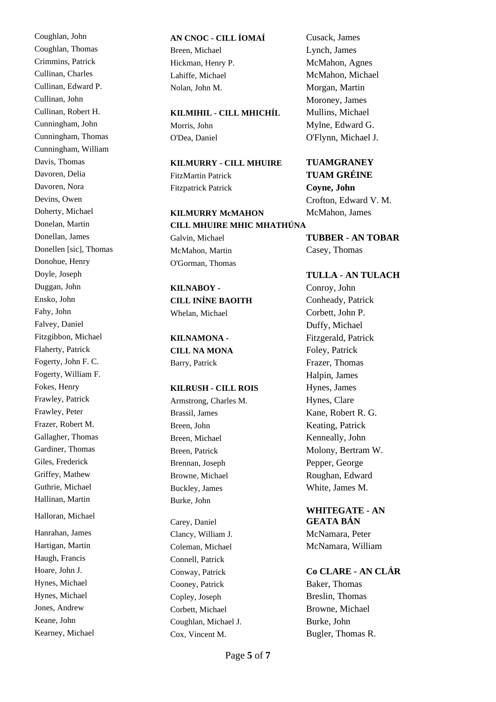Coughlan, Thomas Breen, Michael Lynch, James Crimmins, Patrick Hickman, Henry P. McMahon, Agnes Cullinan, Charles Lahiffe, Michael McMahon, Michael Cullinan, Edward P. Nolan, John M. Morgan, Martin Cullinan, John Moroney, James Cunningham, John Morris, John Mylne, Edward G. Cunningham, Thomas O'Dea, Daniel O'Flynn, Michael J. Cunningham, William Davoren, Nora Fitzpatrick Patrick **Coyne, John** Donellen [sic], Thomas McMahon, Martin Casey, Thomas Donohue, Henry **O'Gorman**, Thomas Duggan, John **KILNABOY -** Conroy, John Ensko, John **CILL INÍNE BAOITH** Conheady, Patrick Falvey, Daniel Duffy, Michael Fitzgibbon, Michael **KILNAMONA -** Fitzgerald, Patrick Flaherty, Patrick **CILL NA MONA** Foley, Patrick Fogerty, John F. C. Barry, Patrick Frazer, Thomas Fogerty, William F. **Halpin, James** Fokes, Henry **KILRUSH - CILL ROIS** Hynes, James Frawley, Patrick **Armstrong, Charles M.** Hynes, Clare Frawley, Peter **Brassil, James** Brassil, James Kane, Robert R. G. Frazer, Robert M. Breen, John Keating, Patrick Gallagher, Thomas Breen, Michael Kenneally, John Gardiner, Thomas Breen, Patrick Molony, Bertram W. Giles, Frederick Brennan, Joseph Pepper, George Griffey, Mathew Browne, Michael Roughan, Edward Guthrie, Michael Buckley, James White, James M. Hallinan, Martin Burke, John Halloran, Michael Hanrahan, James Clancy, William J. McNamara, Peter Hartigan, Martin Coleman, Michael McNamara, William Haugh, Francis Connell, Patrick Hynes, Michael Cooney, Patrick Baker, Thomas Hynes, Michael Copley, Joseph Breslin, Thomas Jones, Andrew Corbett, Michael Browne, Michael Keane, John Coughlan, Michael J. Burke, John

### Coughlan, John **AN CNOC - CILL ÍOMAÍ** Cusack, James

## Cullinan, Robert H. **KILMIHIL - CILL MHICHÍL** Mullins, Michael

## Davis, Thomas **KILMURRY - CILL MHUIRE TUAMGRANEY**  Davoren, Delia FitzMartin Patrick **TUAM GRÉINE**

### Doherty, Michael **KILMURRY McMAHON** McMahon, James Donelan, Martin **CILL MHUIRE MHIC MHATHÚNA**

Fahy, John Whelan, Michael Corbett, John P.

Carey, Daniel

- 
- Devins, Owen Crofton, Edward V. M.

Donellan, James Galvin, Michael **TUBBER - AN TOBAR**

### Doyle, Joseph **TULLA - AN TULACH**

### **WHITEGATE - AN GEATA BÁN**

### Hoare, John J. Conway, Patrick **Co CLARE - AN CLÁR**

Kearney, Michael Cox, Vincent M. Bugler, Thomas R.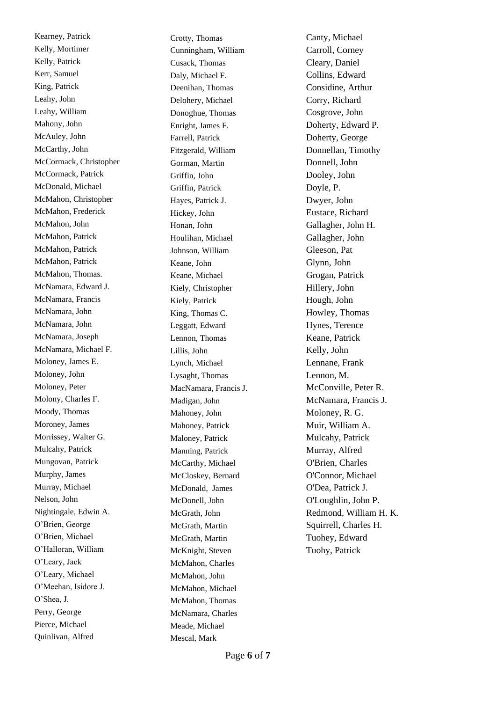Kearney, Patrick Crotty, Thomas Crotty, Thomas Canty, Michael Kelly, Mortimer Cunningham, William Carroll, Corney Kelly, Patrick Cusack, Thomas Cusack, Cheary, Daniel Kerr, Samuel Daly, Michael F. Collins, Edward King, Patrick Deenihan, Thomas Considine, Arthur Leahy, John Delohery, Michael Corry, Richard Leahy, William Donoghue, Thomas Cosgrove, John Mahony, John Enright, James F. Doherty, Edward P. McAuley, John Farrell, Patrick Doherty, George McCarthy, John Fitzgerald, William Donnellan, Timothy McCormack, Christopher Gorman, Martin Donnell, John McCormack, Patrick Griffin, John Dooley, John McDonald, Michael Griffin, Patrick Doyle, P. McMahon, Christopher Hayes, Patrick J. Dwyer, John McMahon, Frederick Hickey, John Eustace, Richard McMahon, John Honan, John Gallagher, John H. McMahon, Patrick Houlihan, Michael Gallagher, John McMahon, Patrick Johnson, William Gleeson, Pat McMahon, Patrick Keane, John Keane, John Glynn, John McMahon, Thomas. Keane, Michael Grogan, Patrick McNamara, Edward J. Kiely, Christopher Hillery, John McNamara, Francis Kiely, Patrick Hough, John McNamara, John King, Thomas C. Howley, Thomas Howley, Thomas McNamara, John Leggatt, Edward Hynes, Terence McNamara, Joseph Lennon, Thomas Keane, Patrick McNamara, Michael F. Lillis, John Kelly, John Moloney, James E. Lynch, Michael Lennane, Frank Moloney, John Lysaght, Thomas Lennon, M. Moloney, Peter MacNamara, Francis J. McConville, Peter R. Molony, Charles F. Madigan, John McNamara, Francis J. Moody, Thomas Mahoney, John Moloney, R. G. Moroney, James Mahoney, Patrick Muir, William A. Morrissey, Walter G. Maloney, Patrick Mulcahy, Patrick Mulcahy, Patrick Mulcahy, Patrick Manning, Patrick Murray, Alfred Mungovan, Patrick McCarthy, Michael O'Brien, Charles Murphy, James McCloskey, Bernard O'Connor, Michael Murray, Michael McDonald, James O'Dea, Patrick J. Nelson, John McDonell, John O'Loughlin, John P. O'Brien, George McGrath, Martin Martin Squirrell, Charles H. O'Brien, Michael McGrath, Martin Martin Tuohey, Edward O'Halloran, William McKnight, Steven Tuohy, Patrick O'Leary, Jack McMahon, Charles O'Leary, Michael McMahon, John O'Meehan, Isidore J. McMahon, Michael O'Shea, J. McMahon, Thomas Perry, George McNamara, Charles Pierce, Michael Meade, Michael Quinlivan, Alfred Mescal, Mark

Nightingale, Edwin A. McGrath, John Redmond, William H. K.